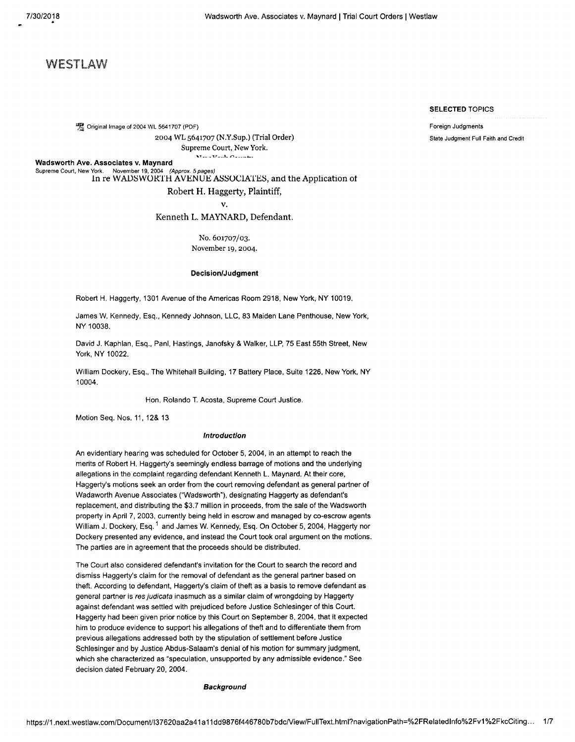# **WESTLAW**

## **SELECTED** TOPICS

State Judgment Full Faith and Credit

Foreign Judgments

Original Image of 2004 WL 5641707 (PDF) 2004 WL 5641707 (N.Y.Sup.) (Trial Order) Supreme Court, New York.

# **Wadsworth Ave. Associates v. Maynard**

Supreme Court, New York. November 19, 2004 *(Approx. 5 pages)* **In re WADSWORTH AVEN UE ASSOCIATES, and the Application ot**

**Robert H. Haggerty, Plaintiff,**

V.

# **Kenneth L. MAYNARD, Defendant.**

No. 601707/03. November 19, 2004.

## **Decision/Judgment**

Robert H. Haggerty, 1301 Avenue of the Americas Room 2918, New York, NY 10019.

James W. Kennedy, Esq., Kennedy Johnson, LLC, 83 Maiden Lane Penthouse, New York, NY 10038.

David J. Kaphlan, Esq., Panl, Hastings, Janofsky & Walker, LLP, 75 East 55th Street, New York, NY 10022.

William Dockery, Esq., The Whitehall Building, 17 Battery Place, Suite 1226, New York, NY 10004.

Hon. Rolando T. Acosta, Supreme Court Justice.

Motion Seq. Nos. 11, 12& 13

## *Introduction*

An evidentiary hearing was scheduled for October 5, 2004, in an attempt to reach the merits of Robert H. Haggerty's seemingly endless barrage of motions and the underlying allegations in the complaint regarding defendant Kenneth L. Maynard. At their core, Haggerty's motions seek an order from the court removing defendant as general partner of Wadaworth Avenue Associates ("Wadsworth"), designating Haggerty as defendant's replacement, and distributing the \$3.7 million in proceeds, from the sale of the Wadsworth property in April 7, 2003, currently being held in escrow and managed by co-escrow agents William J. Dockery, Esq.<sup>1</sup> and James W. Kennedy, Esq. On October 5, 2004, Haggerty nor Dockery presented any evidence, and instead the Court took oral argument on the motions. The parties are in agreement that the proceeds should be distributed.

The Court also considered defendant's invitation for the Court to search the record and dismiss Haggerty's claim for the removal of defendant as the general partner based on theft. According to defendant, Haggerty's claim of theft as a basis to remove defendant as general partner is *res judicata* inasmuch as a similar claim of wrongdoing by Haggerty against defendant was settled with prejudiced before Justice Schlesinger of this Court. Haggerty had been given prior notice by this Court on September 8, 2004, that it expected him to produce evidence to support his allegations of theft and to differentiate them from previous allegations addressed both by the stipulation of settlement before Justice Schlesinger and by Justice Abdus-Salaam's denial of his motion for summary judgment, which she characterized as "speculation, unsupported by any admissible evidence." See decision dated February 20, 2004.

#### *Background*

<https://1> .next.westlaw.com/Document/l37620aa2a41 a11dd9876f446780b7bdc/View/FullText.html?navigationPath=%2FRelatedlnfo%2Fv1%2FkcCiting... 1/7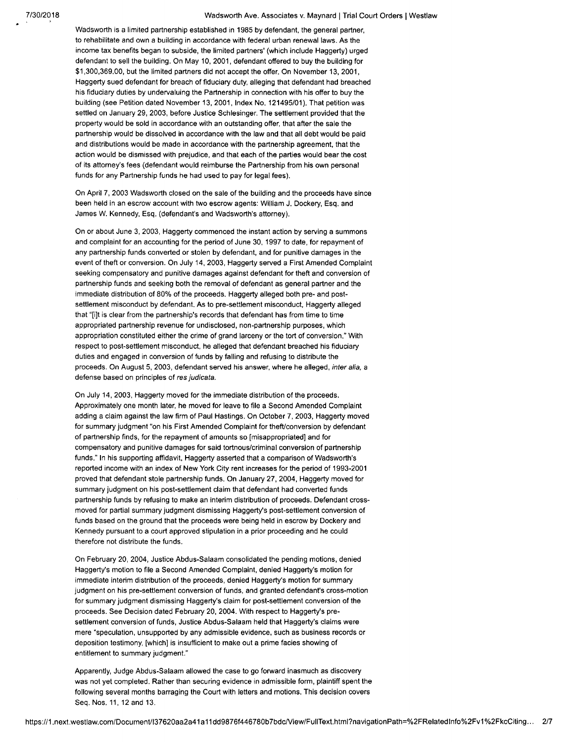Wadsworth is a limited partnership established in 1985 by defendant, the general partner, to rehabilitate and own a building in accordance with federal urban renewal laws. As the income tax benefits began to subside, the limited partners' (which include Haggerty) urged defendant to sell the building. On May 10, 2001, defendant offered to buy the building for \$1,300,369.00, but the limited partners did not accept the offer. On November 13, 2001, Haggerty sued defendant for breach of fiduciary duty, alleging that defendant had breached his fiduciary duties by undervaluing the Partnership in connection with his offer to buy the building (see Petition dated November 13, 2001, Index No. 121495/01). That petition was settled on January 29, 2003, before Justice Schlesinger. The settlement provided that the property would be sold in accordance with an outstanding offer, that after the sale the partnership would be dissolved in accordance with the law and that all debt would be paid and distributions would be made in accordance with the partnership agreement, that the action would be dismissed with prejudice, and that each of the parties would bear the cost of its attorney's fees (defendant would reimburse the Partnership from his own personal funds for any Partnership funds he had used to pay for legal fees).

On April 7, 2003 Wadsworth closed on the sale of the building and the proceeds have since been held in an escrow account with two escrow agents: William J. Dockery, Esq. and James W. Kennedy, Esq. (defendant's and Wadsworth's attorney).

On or about June 3, 2003, Haggerty commenced the instant action by serving a summons and complaint for an accounting for the period of June 30, 1997 to date, for repayment of any partnership funds converted or stolen by defendant, and for punitive damages in the event of theft or conversion. On July 14, 2003, Haggerty served a First Amended Complaint seeking compensatory and punitive damages against defendant for theft and conversion of partnership funds and seeking both the removal of defendant as general partner and the immediate distribution of 80% of the proceeds. Haggerty alleged both pre- and postsettlement misconduct by defendant. As to pre-settlement misconduct, Haggerty alleged that "[i]t is clear from the partnership's records that defendant has from time to time appropriated partnership revenue for undisclosed, non-partnership purposes, which appropriation constituted either the crime of grand larceny or the tort of conversion." With respect to post-settlement misconduct, he alleged that defendant breached his fiduciary duties and engaged in conversion of funds by falling and refusing to distribute the proceeds. On August 5, 2003, defendant served his answer, where he alleged, *inter alia,* a defense based on principles of *resjudicata.*

On July 14, 2003, Haggerty moved for the immediate distribution of the proceeds. Approximately one month later, he moved for leave to file a Second Amended Complaint adding a claim against the law firm of Paul Hastings. On October 7, 2003, Haggerty moved for summary judgment "on his First Amended Complaint for theft/conversion by defendant of partnership finds, for the repayment of amounts so [misappropriated] and for compensatory and punitive damages for said tortnous/criminal conversion of partnership funds." In his supporting affidavit, Haggerty asserted that a comparison of Wadsworth's reported income with an index of New York City rent increases for the period of 1993-2001 proved that defendant stole partnership funds. On January 27, 2004, Haggerty moved for summary judgment on his post-settlement claim that defendant had converted funds partnership funds by refusing to make an interim distribution of proceeds. Defendant crossmoved for partial summary judgment dismissing Haggerty's post-settlement conversion of funds based on the ground that the proceeds were being held in escrow by Dockery and Kennedy pursuant to a court approved stipulation in a prior proceeding and he could therefore not distribute the funds.

On February 20, 2004, Justice Abdus-Salaam consolidated the pending motions, denied Haggerty's motion to file a Second Amended Complaint, denied Haggerty's motion for immediate interim distribution of the proceeds, denied Haggerty's motion for summary judgment on his pre-settlement conversion of funds, and granted defendant's cross-motion for summary judgment dismissing Haggerty's claim for post-settlement conversion of the proceeds. See Decision dated February 20, 2004. With respect to Haggerty's presettlement conversion of funds, Justice Abdus-Salaam held that Haggerty's claims were mere "speculation, unsupported by any admissible evidence, such as business records or deposition testimony, [which] is insufficient to make out a prime facies showing of entitlement to summary judgment."

Apparently, Judge Abdus-Salaam allowed the case to go forward inasmuch as discovery was not yet completed. Rather than securing evidence in admissible form, plaintiff spent the following several months barraging the Court with letters and motions. This decision covers Seq. Nos. 11,12 and 13.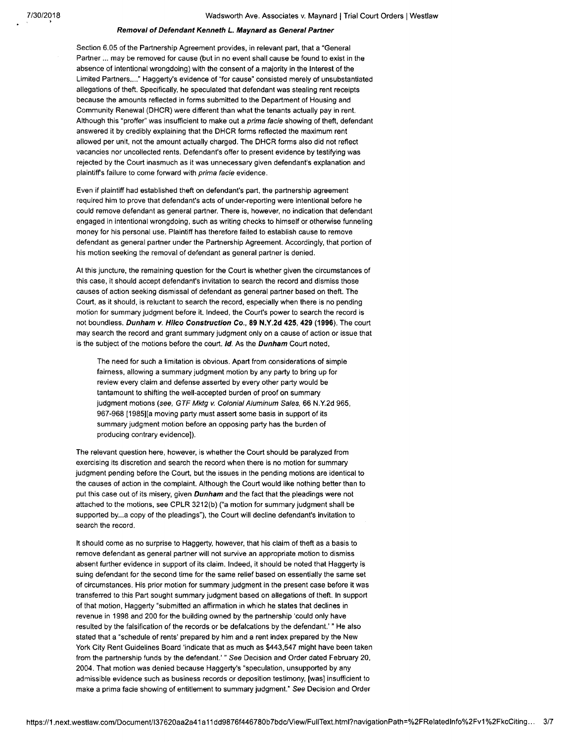## *Removal ofDefendant Kenneth L. Maynard as General Partner*

Section 6.05 of the Partnership Agreement provides, in relevant part, that a "General Partner ... may be removed for cause (but in no event shall cause be found to exist in the absence of intentional wrongdoing) with the consent of a majority in the Interest of the Limited Partners...." Haggerty's evidence of "for cause" consisted merely of unsubstantiated allegations of theft. Specifically, he speculated that defendant was stealing rent receipts because the amounts reflected in forms submitted to the Department of Housing and Community Renewal (DHCR) were different than what the tenants actually pay in rent. Although this "proffer" was insufficient to make out a *prima facie* showing of theft, defendant answered it by credibly explaining that the DHCR forms reflected the maximum rent allowed per unit, not the amount actually charged. The DHCR forms also did not reflect vacancies nor uncollected rents. Defendant's offer to present evidence by testifying was rejected by the Court inasmuch as it was unnecessary given defendant's explanation and plaintiffs failure to come forward with *prima facie* evidence.

Even if plaintiff had established theft on defendant's part, the partnership agreement required him to prove that defendant's acts of under-reporting were intentional before he could remove defendant as general partner. There is, however, no indication that defendant engaged in intentional wrongdoing, such as writing checks to himself or otherwise tunneling money for his personal use. Plaintiff has therefore failed to establish cause to remove defendant as general partner under the Partnership Agreement. Accordingly, that portion of his motion seeking the removal of defendant as general partner is denied.

At this juncture, the remaining question for the Court is whether given the circumstances of this case, it should accept defendant's invitation to search the record and dismiss those causes of action seeking dismissal of defendant as general partner based on theft. The Court, as it should, is reluctant to search the record, especially when there is no pending motion for summary judgment before it. Indeed, the Court's power to search the record is not boundless. *Dunham v. Hilco Construction* **Co., 89 N.Y.2d 425, 429 (1996).** The court may search the record and grant summary judgment only on a cause of action or issue that is the subject of the motions before the court. *Id.* As the *Dunham* Court noted,

The need for such a limitation is obvious. Apart from considerations of simple fairness, allowing a summary judgment motion by any party to bring up for review every claim and defense asserted by every other party would be tantamount to shifting the well-accepted burden of proof on summary judgment motions (see, *GTF Mktg v. Colonial Aluminum Sales,* 66 N.Y.2d 965, 967-968 [1985][a moving party must assert some basis in support of its summary judgment motion before an opposing party has the burden of producing contrary evidence]).

The relevant question here, however, is whether the Court should be paralyzed from exercising its discretion and search the record when there is no motion for summary judgment pending before the Court, but the issues in the pending motions are identical to the causes of action in the complaint. Although the Court would like nothing better than to put this case out of its misery, given *Dunham* and the fact that the pleadings were not attached to the motions, see CPLR 3212(b) ("a motion for summary judgment shall be supported by...a copy of the pleadings"), the Court will decline defendant's invitation to search the record.

It should come as no surprise to Haggerty, however, that his claim of theft as a basis to remove defendant as general partner will not survive an appropriate motion to dismiss absent further evidence in support of its claim. Indeed, it should be noted that Haggerty is suing defendant for the second time for the same relief based on essentially the same set of circumstances. His prior motion for summary judgment in the present case before it was transferred to this Part sought summary judgment based on allegations of theft. In support of that motion, Haggerty "submitted an affirmation in which he states that declines in revenue in 1998 and 200 for the building owned by the partnership 'could only have resulted by the falsification of the records or be defalcations by the defendant.' " He also stated that a "schedule of rents' prepared by him and a rent index prepared by the New York City Rent Guidelines Board 'indicate that as much as \$443,547 might have been taken from the partnership funds by the defendant.' " *See* Decision and Order dated February 20, 2004. That motion was denied because Haggerty's "speculation, unsupported by any admissible evidence such as business records or deposition testimony, [was] insufficient to make a prima facie showing of entitlement to summary judgment." *See* Decision and Order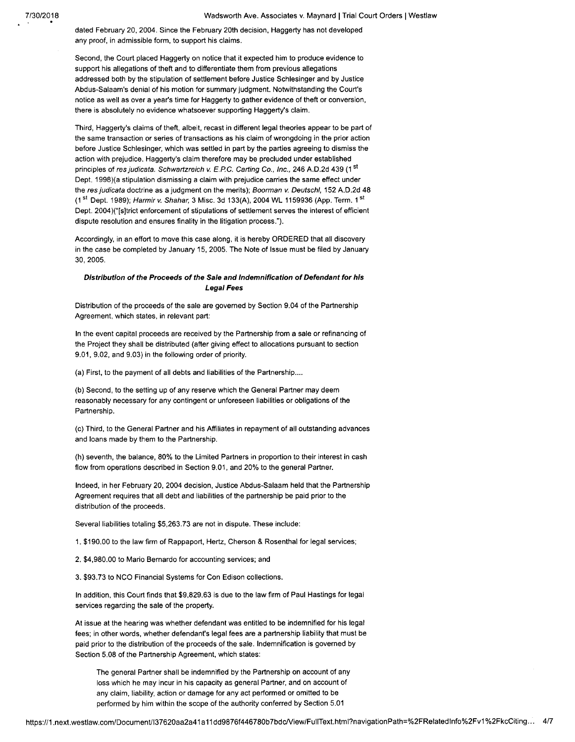dated February 20, 2004. Since the February 20th decision, Haggerty has not developed any proof, in admissible form, to support his claims.

Second, the Court placed Haggerty on notice that it expected him to produce evidence to support his allegations of theft and to differentiate them from previous allegations addressed both by the stipulation of settlement before Justice Schlesinger and by Justice Abdus-Salaam's denial of his motion for summary judgment. Notwithstanding the Court's notice as well as over a year's time for Haggerty to gather evidence of theft or conversion, there is absolutely no evidence whatsoever supporting Haggerty's claim.

Third, Haggerty's claims of theft, albeit, recast in different legal theories appear to be part of the same transaction or series of transactions as his claim of wrongdoing in the prior action before Justice Schlesinger, which was settled in part by the parties agreeing to dismiss the action with prejudice. Haggerty's claim therefore may be precluded under established principles of *resjudicata. Schwartzreich v. E.P.C. Carting Co., Inc.,* 246 A.D.2d 439 (1 st Dept. 1998)(a stipulation dismissing a claim with prejudice carries the same effect under the *res judicata* doctrine as a judgment on the merits); *Boorman v. Deutschl,* 152 A.D.2d 48 (1 st Dept. 1989); *Harmirv. Shahar,* 3 Misc. 3d 133(A), 2004 WL 1159936 (App. Term. <sup>1</sup> st Dept. 2004)("[s]trict enforcement of stipulations of settlement serves the interest of efficient dispute resolution and ensures finality in the litigation process.").

Accordingly, in an effort to move this case along, it is hereby ORDERED that all discovery in the case be completed by January 15, 2005. The Note of Issue must be filed by January 30, 2005.

# **Distribution of the Proceeds of the Sale and Indemnification of Defendant for his** *Legal Fees*

Distribution of the proceeds of the sale are governed by Section 9.04 of the Partnership Agreement, which states, in relevant part:

In the event capital proceeds are received by the Partnership from a sale or refinancing of the Project they shall be distributed (after giving effect to allocations pursuant to section 9.01, 9.02, and 9.03) in the following order of priority.

(a) First, to the payment of all debts and liabilities of the Partnership....

(b) Second, to the setting up of any reserve which the General Partner may deem reasonably necessary for any contingent or unforeseen liabilities or obligations of the Partnership.

(c) Third, to the General Partner and his Affiliates in repayment of all outstanding advances and loans made by them to the Partnership.

(h) seventh, the balance, 80% to the Limited Partners in proportion to their interest in cash flow from operations described in Section 9.01, and 20% to the general Partner.

Indeed, in her February 20, 2004 decision, Justice Abdus-Salaam held that the Partnership Agreement requires that all debt and liabilities of the partnership be paid prior to the distribution of the proceeds.

Several liabilities totaling \$5,263.73 are not in dispute. These include:

1. \$190.00 to the law firm of Rappaport, Hertz, Cherson & Rosenthal for legal services;

2. \$4,980.00 to Mario Bernardo for accounting services; and

3. \$93.73 to NCO Financial Systems for Con Edison collections.

In addition, this Court finds that \$9,829.63 is due to the law firm of Paul Hastings for legal services regarding the sale of the property.

At issue at the hearing was whether defendant was entitled to be indemnified for his legal fees; in other words, whether defendant's legal fees are a partnership liability that must be paid prior to the distribution of the proceeds of the sale. Indemnification is governed by Section 5.08 of the Partnership Agreement, which states:

The general Partner shall be indemnified by the Partnership on account of any loss which he may incur in his capacity as general Partner, and on account of any claim, liability, action or damage for any act performed or omitted to be performed by him within the scope of the authority conferred by Section 5.01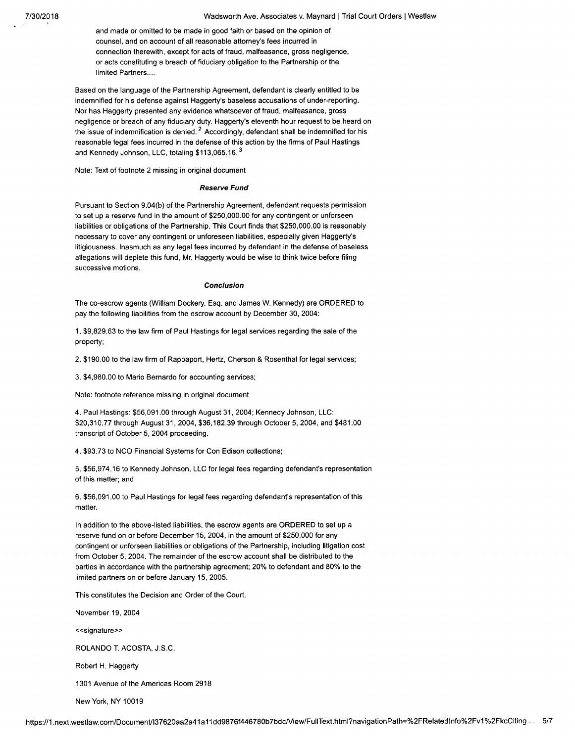and made or omitted to be made in good faith or based on the opinion of counsel, and on account of all reasonable attorney's fees incurred in connection therewith, except for acts of fraud, malfeasance, gross negligence, or acts constituting a breach of fiduciary obligation to the Partnership or the limited Partners....

Based on the language of the Partnership Agreement, defendant is clearly entitled to be indemnified for his defense against Haggerty's baseless accusations of under-reporting. Nor has Haggerty presented any evidence whatsoever of fraud, malfeasance, gross negligence or breach of any fiduciary duty. Haggerty's eleventh hour request to be heard on the issue of indemnification is denied.<sup>2</sup> Accordingly, defendant shall be indemnified for his reasonable legal fees incurred in the defense of this action by the firms of Paul Hastings and Kennedy Johnson, LLC, totaling \$113,065.16.<sup>3</sup>

Note: Text of footnote 2 missing in original document

## *Reserve Fund*

Pursuant to Section 9.04(b) of the Partnership Agreement, defendant requests permission to set up a reserve fund in the amount of \$250,000.00 for any contingent or unforseen liabilities or obligations of the Partnership. This Court finds that \$250,000.00 is reasonably necessary to cover any contingent or unforeseen liabilities, especially given Haggerty's litigiousness. Inasmuch as any legal fees incurred by defendant in the defense of baseless allegations will deplete this fund, Mr. Haggerty would be wise to think twice before filing successive motions.

### *Conclusion*

The co-escrow agents (William Dockery, Esq. and James W. Kennedy) are ORDERED to pay the following liabilities from the escrow account by December 30, 2004:

1. \$9,829.63 to the law firm of Paul Hastings for legal services regarding the sale of the property;

2. \$190.00 to the law firm of Rappaport, Hertz, Cherson & Rosenthal for legal services;

3. \$4,980.00 to Mario Bernardo for accounting services;

Note: footnote reference missing in original document

4. Paul Hastings: \$56,091.00 through August 31,2004; Kennedy Johnson, LLC: \$20,310.77 through August 31,2004, \$36,182.39 through October 5, 2004, and \$481.00 transcript of October 5, 2004 proceeding.

4. \$93.73 to NCO Financial Systems for Con Edison collections;

5. \$56,974.16 to Kennedy Johnson, LLC for legal fees regarding defendant's representation of this matter; and

6. \$56,091.00 to Paul Hastings for legal fees regarding defendant's representation of this matter.

In addition to the above-listed liabilities, the escrow agents are ORDERED to set up a reserve fund on or before December 15, 2004, in the amount of \$250,000 for any contingent or unforseen liabilities or obligations of the Partnership, including litigation cost from October 5, 2004. The remainder of the escrow account shall be distributed to the parties in accordance with the partnership agreement; 20% to defendant and 80% to the limited partners on or before January 15, 2005.

This constitutes the Decision and Order of the Court.

November 19, 2004

«signature»

ROLANDO T. ACOSTA, J.S.C.

Robert H. Haggerty

1301 Avenue of the Americas Room 2918

New York, NY 10019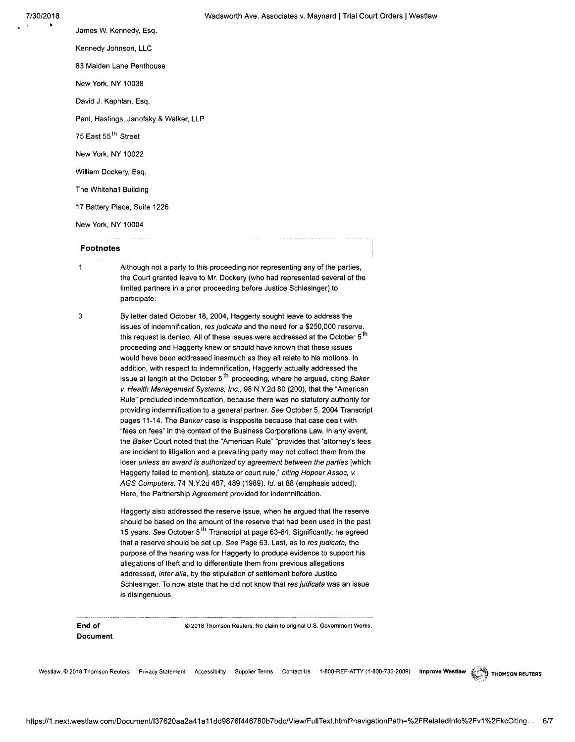» James W. Kennedy, Esq.

Kennedy Johnson, LLC

83 Maiden Lane Penthouse

New York, NY 10038

David J. Kaphlan, Esq.

Panl, Hastings, Janofsky & Walker, LLP

75 East 55<sup>th</sup> Street

New York, NY 10022

William Dockery, Esq.

The Whitehall Building

17 Battery Place, Suite 1226

New York, NY 10004

# **Footnotes**

<sup>1</sup> Although not a party to this proceeding nor representing any of the parties, the Court granted leave to Mr. Dockery (who had represented several of the limited partners in a prior proceeding before Justice Schlesinger) to participate.

3 By letter dated October 18, 2004, Haggerty sought leave to address the issues of indemnification, *res judicata* and the need for a \$250,000 reserve, this request is denied. All of these issues were addressed at the October 5<sup>th</sup> proceeding and Haggerty knew or should have known that these issues would have been addressed inasmuch as they all relate to his motions. In addition, with respect to indemnification, Haggerty actually addressed the issue at length at the October 5<sup>th</sup> proceeding, where he argued, citing Baker *v. Health Management Systems, Inc.,* 98 N.Y.2d 80 (200), that the "American Rule" precluded indemnification, because there was no statutory authority for providing indemnification to a general partner. *See* October 5, 2004 Transcript pages 11-14. The *Banker* case is inspposite because that case dealt with "fees on fees" in the context of the Business Corporations Law. In any event, the *Baker* Court noted that the "American Rule" "provides that 'attorney's fees are incident to litigation and a prevailing party may not collect them from the loser *unless an award is authorized by agreement between the parties* [which Haggerty failed to mention], statute or court rule," *citing HopoerAssoc, v. AGS Computers,* 74 N.Y.2d 487, 489 (1989). *Id.* at 88 (emphasis added). Here, the Partnership Agreement provided for indemnification.

> Haggerty also addressed the reserve issue, when he argued that the reserve should be based on the amount of the reserve that had been used in the past 15 years. *See* October 5th Transcript at page 63-64, Significantly, he agreed that a reserve should be set up. *See* Page 63. Last, as to *res judicata,* the purpose of the hearing was for Haggerty to produce evidence to support his allegations of theft and to differentiate them from previous allegations addressed, *inter alia,* by the stipulation of settlement before Justice Schlesinger. To now state that he did not know that *resjudicata* was an issue is disingenuous.

**Document**

**End of by COLO EXECUTE:** © 2018 Thomson Reuters. No claim to original U.S. Government Works.

Westlaw. © 2018 Thomson Reuters Privacy Statement Accessibility Supplier Terms Contact Us 1-800-REF-ATTY (1-800-733-2889) Improve Westlaw THOMSON REUTERS